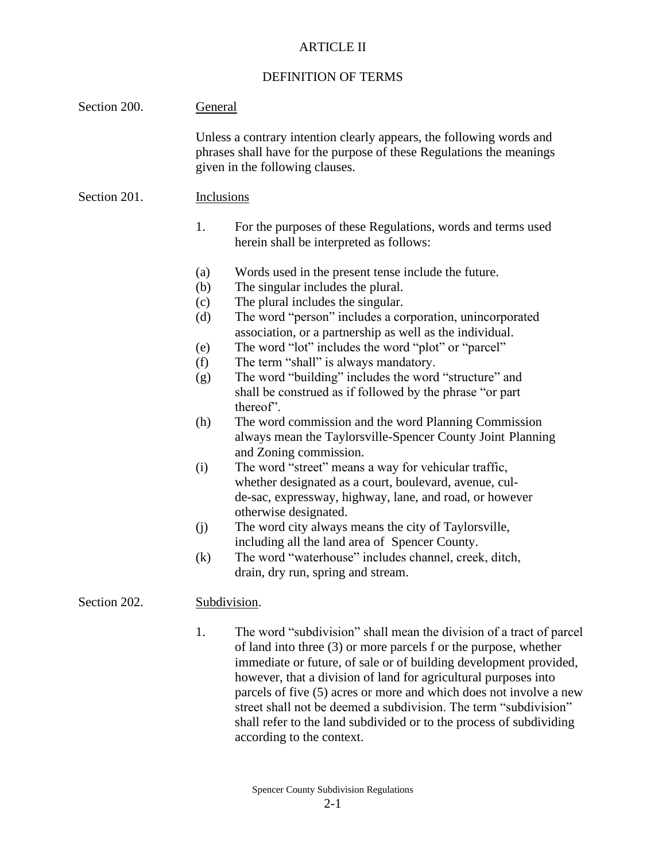## ARTICLE II

## DEFINITION OF TERMS

| Section 200. | <b>General</b>                                                                                                                                                                  |                                                                                                                                                                                                                                                                                                                                                       |  |
|--------------|---------------------------------------------------------------------------------------------------------------------------------------------------------------------------------|-------------------------------------------------------------------------------------------------------------------------------------------------------------------------------------------------------------------------------------------------------------------------------------------------------------------------------------------------------|--|
|              | Unless a contrary intention clearly appears, the following words and<br>phrases shall have for the purpose of these Regulations the meanings<br>given in the following clauses. |                                                                                                                                                                                                                                                                                                                                                       |  |
| Section 201. | Inclusions                                                                                                                                                                      |                                                                                                                                                                                                                                                                                                                                                       |  |
|              | 1.                                                                                                                                                                              | For the purposes of these Regulations, words and terms used<br>herein shall be interpreted as follows:                                                                                                                                                                                                                                                |  |
|              | (a)<br>(b)                                                                                                                                                                      | Words used in the present tense include the future.<br>The singular includes the plural.<br>The plural includes the singular.                                                                                                                                                                                                                         |  |
|              | (c)<br>(d)                                                                                                                                                                      | The word "person" includes a corporation, unincorporated<br>association, or a partnership as well as the individual.                                                                                                                                                                                                                                  |  |
|              | (e)                                                                                                                                                                             | The word "lot" includes the word "plot" or "parcel"                                                                                                                                                                                                                                                                                                   |  |
|              | (f)                                                                                                                                                                             | The term "shall" is always mandatory.                                                                                                                                                                                                                                                                                                                 |  |
|              | (g)                                                                                                                                                                             | The word "building" includes the word "structure" and<br>shall be construed as if followed by the phrase "or part<br>thereof'.                                                                                                                                                                                                                        |  |
|              | (h)                                                                                                                                                                             | The word commission and the word Planning Commission<br>always mean the Taylorsville-Spencer County Joint Planning<br>and Zoning commission.                                                                                                                                                                                                          |  |
|              | (i)                                                                                                                                                                             | The word "street" means a way for vehicular traffic,<br>whether designated as a court, boulevard, avenue, cul-<br>de-sac, expressway, highway, lane, and road, or however<br>otherwise designated.                                                                                                                                                    |  |
|              | (j)                                                                                                                                                                             | The word city always means the city of Taylorsville,<br>including all the land area of Spencer County.                                                                                                                                                                                                                                                |  |
|              | (k)                                                                                                                                                                             | The word "waterhouse" includes channel, creek, ditch,<br>drain, dry run, spring and stream.                                                                                                                                                                                                                                                           |  |
| Section 202. | Subdivision.                                                                                                                                                                    |                                                                                                                                                                                                                                                                                                                                                       |  |
|              | 1.                                                                                                                                                                              | The word "subdivision" shall mean the division of a tract of parcel<br>of land into three (3) or more parcels f or the purpose, whether<br>immediate or future, of sale or of building development provided,<br>however, that a division of land for agricultural purposes into<br>parcels of five (5) acres or more and which does not involve a new |  |

parcels of five (5) acres or more and which does not involve a new street shall not be deemed a subdivision. The term "subdivision" shall refer to the land subdivided or to the process of subdividing according to the context.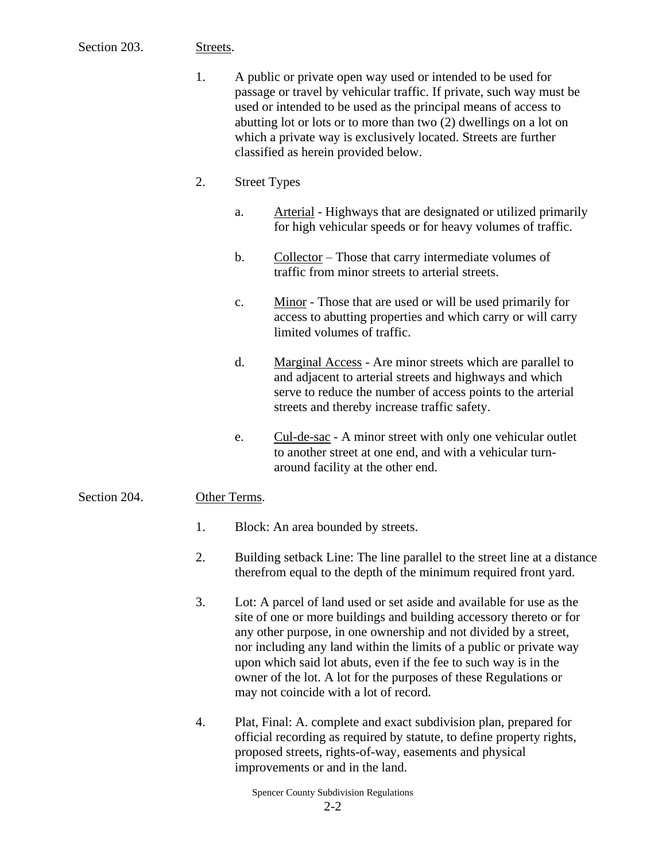## Section 203. Streets.

| $\mathbf{1}$ . | A public or private open way used or intended to be used for         |
|----------------|----------------------------------------------------------------------|
|                | passage or travel by vehicular traffic. If private, such way must be |
|                | used or intended to be used as the principal means of access to      |
|                | abutting lot or lots or to more than two (2) dwellings on a lot on   |
|                | which a private way is exclusively located. Streets are further      |
|                | classified as herein provided below.                                 |

- 2. Street Types
	- a. Arterial Highways that are designated or utilized primarily for high vehicular speeds or for heavy volumes of traffic.
	- b. Collector Those that carry intermediate volumes of traffic from minor streets to arterial streets.
	- c. Minor Those that are used or will be used primarily for access to abutting properties and which carry or will carry limited volumes of traffic.
	- d. Marginal Access Are minor streets which are parallel to and adjacent to arterial streets and highways and which serve to reduce the number of access points to the arterial streets and thereby increase traffic safety.
	- e. Cul-de-sac A minor street with only one vehicular outlet to another street at one end, and with a vehicular turnaround facility at the other end.

## Section 204. Other Terms.

- 1. Block: An area bounded by streets.
- 2. Building setback Line: The line parallel to the street line at a distance therefrom equal to the depth of the minimum required front yard.
- 3. Lot: A parcel of land used or set aside and available for use as the site of one or more buildings and building accessory thereto or for any other purpose, in one ownership and not divided by a street, nor including any land within the limits of a public or private way upon which said lot abuts, even if the fee to such way is in the owner of the lot. A lot for the purposes of these Regulations or may not coincide with a lot of record.
- 4. Plat, Final: A. complete and exact subdivision plan, prepared for official recording as required by statute, to define property rights, proposed streets, rights-of-way, easements and physical improvements or and in the land.